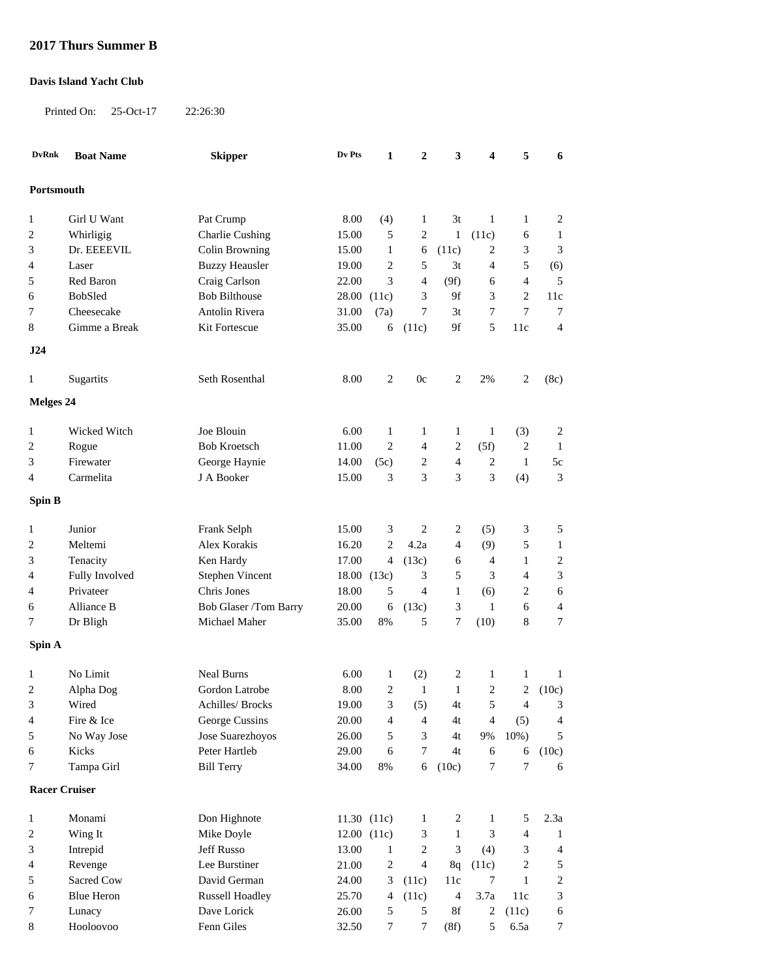## **2017 Thurs Summer B**

## **Davis Island Yacht Club**

Printed On: 25-Oct-17 22:26:30

| <b>DvRnk</b>            | <b>Boat Name</b>  | <b>Skipper</b>         | Dv Pts | $\mathbf{1}$     | $\boldsymbol{2}$ | 3                           | 4              | 5              | 6                        |
|-------------------------|-------------------|------------------------|--------|------------------|------------------|-----------------------------|----------------|----------------|--------------------------|
| Portsmouth              |                   |                        |        |                  |                  |                             |                |                |                          |
| 1                       | Girl U Want       | Pat Crump              | 8.00   | (4)              | 1                | 3t                          | 1              | 1              | $\overline{c}$           |
| $\overline{\mathbf{c}}$ | Whirligig         | <b>Charlie Cushing</b> | 15.00  | 5                | $\overline{c}$   | $\mathbf{1}$                | (11c)          | 6              | 1                        |
| 3                       | Dr. EEEEVIL       | Colin Browning         | 15.00  | $\mathbf{1}$     | 6                | (11c)                       | $\overline{c}$ | 3              | 3                        |
| 4                       | Laser             | <b>Buzzy Heausler</b>  | 19.00  | 2                | 5                | 3t                          | 4              | 5              | (6)                      |
| 5                       | Red Baron         | Craig Carlson          | 22.00  | $\mathfrak{Z}$   | $\overline{4}$   | (9f)                        | 6              | $\overline{4}$ | 5                        |
| 6                       | BobSled           | <b>Bob Bilthouse</b>   | 28.00  | (11c)            | 3                | 9f                          | 3              | $\overline{c}$ | 11c                      |
| 7                       | Cheesecake        | <b>Antolin Rivera</b>  | 31.00  | (7a)             | 7                | 3t                          | 7              | $\tau$         | 7                        |
| 8                       | Gimme a Break     | Kit Fortescue          | 35.00  | 6                | (11c)            | 9f                          | 5              | 11c            | $\overline{4}$           |
| J24                     |                   |                        |        |                  |                  |                             |                |                |                          |
| 1                       | Sugartits         | Seth Rosenthal         | 8.00   | 2                | 0c               | 2                           | 2%             | 2              | (8c)                     |
| Melges 24               |                   |                        |        |                  |                  |                             |                |                |                          |
| $\mathbf{1}$            | Wicked Witch      | Joe Blouin             | 6.00   | $\mathbf{1}$     | 1                | $\mathbf{1}$                | $\mathbf{1}$   | (3)            | 2                        |
| $\overline{c}$          | Rogue             | <b>Bob Kroetsch</b>    | 11.00  | $\overline{c}$   | $\overline{4}$   | $\overline{c}$              | (5f)           | 2              | 1                        |
| 3                       | Firewater         | George Haynie          | 14.00  | (5c)             | 2                | $\overline{4}$              | $\overline{c}$ | 1              | $5\mathrm{c}$            |
| 4                       | Carmelita         | J A Booker             | 15.00  | 3                | 3                | 3                           | 3              | (4)            | 3                        |
| Spin B                  |                   |                        |        |                  |                  |                             |                |                |                          |
| $\mathbf{1}$            | Junior            | Frank Selph            | 15.00  | 3                | 2                | 2                           | (5)            | 3              | 5                        |
| $\overline{c}$          | Meltemi           | Alex Korakis           | 16.20  | $\overline{c}$   | 4.2a             | $\overline{4}$              | (9)            | 5              | 1                        |
| 3                       | Tenacity          | Ken Hardy              | 17.00  | $\overline{4}$   | (13c)            | 6                           | 4              | 1              | 2                        |
| 4                       | Fully Involved    | Stephen Vincent        | 18.00  | (13c)            | 3                | 5                           | 3              | 4              | 3                        |
| 4                       | Privateer         | Chris Jones            | 18.00  | 5                | $\overline{4}$   | $\mathbf{1}$                | (6)            | 2              | 6                        |
| 6                       | Alliance B        | Bob Glaser /Tom Barry  | 20.00  | 6                | (13c)            | 3                           | $\mathbf{1}$   | 6              | 4                        |
| 7                       | Dr Bligh          | Michael Maher          | 35.00  | 8%               | 5                | 7                           | (10)           | 8              | 7                        |
| Spin A                  |                   |                        |        |                  |                  |                             |                |                |                          |
| 1                       | No Limit          | <b>Neal Burns</b>      | 6.00   | $\mathbf{1}$     | (2)              | 2                           | $\mathbf{1}$   | 1              | $\mathbf{1}$             |
| 2                       | Alpha Dog         | Gordon Latrobe         | 8.00   | $\mathbf{2}$     | $\mathbf{1}$     | $\mathbf{1}$                | $\overline{c}$ | $\overline{2}$ | (10c)                    |
| 3                       | Wired             | Achilles/ Brocks       | 19.00  | $\mathfrak{Z}$   | (5)              | $4\mathrm{t}$               | $\sqrt{5}$     | $\overline{4}$ | $\mathfrak{Z}$           |
| $\overline{4}$          | Fire & Ice        | George Cussins         | 20.00  | 4                | $\overline{4}$   | 4t                          | $\overline{4}$ | (5)            | $\overline{\mathcal{A}}$ |
| 5                       | No Way Jose       | Jose Suarezhoyos       | 26.00  | $\mathfrak s$    | 3                | 4t                          | 9%             | 10%)           | 5                        |
| 6                       | Kicks             | Peter Hartleb          | 29.00  | 6                | 7                | 4t                          | 6              | 6              | (10c)                    |
| 7                       | Tampa Girl        | <b>Bill Terry</b>      | 34.00  | $8\%$            | 6                | (10c)                       | $\tau$         | $\tau$         | 6                        |
| <b>Racer Cruiser</b>    |                   |                        |        |                  |                  |                             |                |                |                          |
| 1                       | Monami            | Don Highnote           |        | 11.30(11c)       | 1                | 2                           | 1              | 5              | 2.3a                     |
| $\overline{c}$          | Wing It           | Mike Doyle             |        | 12.00(11c)       | 3                | $\mathbf{1}$                | 3              | $\overline{4}$ | 1                        |
| 3                       | Intrepid          | Jeff Russo             | 13.00  | $\mathbf{1}$     | $\overline{c}$   | $\ensuremath{\mathfrak{Z}}$ | (4)            | 3              | $\overline{\mathcal{A}}$ |
| 4                       | Revenge           | Lee Burstiner          | 21.00  | $\boldsymbol{2}$ | $\overline{4}$   | 8q                          | (11c)          | 2              | 5                        |
| 5                       | Sacred Cow        | David German           | 24.00  | 3                | (11c)            | 11c                         | $\tau$         | $\mathbf{1}$   | $\boldsymbol{2}$         |
| 6                       | <b>Blue Heron</b> | <b>Russell Hoadley</b> | 25.70  | 4                | (11c)            | $\overline{4}$              | 3.7a           | 11c            | 3                        |
| 7                       | Lunacy            | Dave Lorick            | 26.00  | 5                | 5                | 8f                          | $\overline{c}$ | (11c)          | 6                        |
| 8                       | Hooloovoo         | Fenn Giles             | 32.50  | $\boldsymbol{7}$ | 7                | (8f)                        | 5              | 6.5a           | $\boldsymbol{7}$         |
|                         |                   |                        |        |                  |                  |                             |                |                |                          |